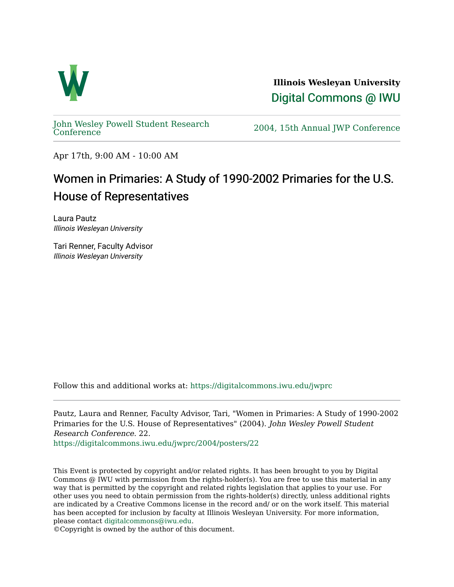

**Illinois Wesleyan University**  [Digital Commons @ IWU](https://digitalcommons.iwu.edu/) 

[John Wesley Powell Student Research](https://digitalcommons.iwu.edu/jwprc) 

2004, 15th Annual JWP [Conference](https://digitalcommons.iwu.edu/jwprc)

Apr 17th, 9:00 AM - 10:00 AM

## Women in Primaries: A Study of 1990-2002 Primaries for the U.S. House of Representatives

Laura Pautz Illinois Wesleyan University

Tari Renner, Faculty Advisor Illinois Wesleyan University

Follow this and additional works at: [https://digitalcommons.iwu.edu/jwprc](https://digitalcommons.iwu.edu/jwprc?utm_source=digitalcommons.iwu.edu%2Fjwprc%2F2004%2Fposters%2F22&utm_medium=PDF&utm_campaign=PDFCoverPages) 

Pautz, Laura and Renner, Faculty Advisor, Tari, "Women in Primaries: A Study of 1990-2002 Primaries for the U.S. House of Representatives" (2004). John Wesley Powell Student Research Conference. 22.

[https://digitalcommons.iwu.edu/jwprc/2004/posters/22](https://digitalcommons.iwu.edu/jwprc/2004/posters/22?utm_source=digitalcommons.iwu.edu%2Fjwprc%2F2004%2Fposters%2F22&utm_medium=PDF&utm_campaign=PDFCoverPages)

This Event is protected by copyright and/or related rights. It has been brought to you by Digital Commons @ IWU with permission from the rights-holder(s). You are free to use this material in any way that is permitted by the copyright and related rights legislation that applies to your use. For other uses you need to obtain permission from the rights-holder(s) directly, unless additional rights are indicated by a Creative Commons license in the record and/ or on the work itself. This material has been accepted for inclusion by faculty at Illinois Wesleyan University. For more information, please contact [digitalcommons@iwu.edu.](mailto:digitalcommons@iwu.edu)

©Copyright is owned by the author of this document.